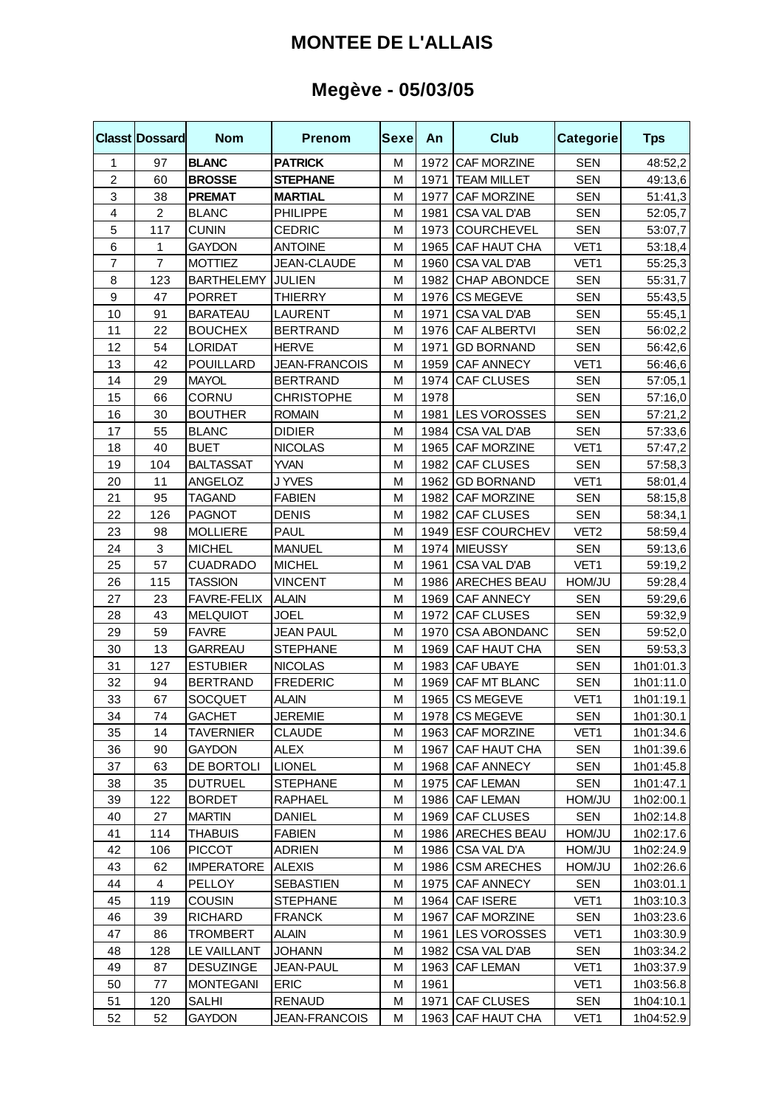### **MONTEE DE L'ALLAIS**

# **Megève - 05/03/05**

|                  | <b>Classt Dossard</b> | <b>Nom</b>        | <b>Prenom</b>        | Sexe | An   | <b>Club</b>         | <b>Categorie</b> | <b>Tps</b> |
|------------------|-----------------------|-------------------|----------------------|------|------|---------------------|------------------|------------|
| 1                | 97                    | <b>BLANC</b>      | <b>PATRICK</b>       | M    |      | 1972 CAF MORZINE    | <b>SEN</b>       | 48:52,2    |
| $\overline{c}$   | 60                    | <b>BROSSE</b>     | <b>STEPHANE</b>      | M    | 1971 | <b>TEAM MILLET</b>  | <b>SEN</b>       | 49:13,6    |
| 3                | 38                    | <b>PREMAT</b>     | <b>MARTIAL</b>       | M    | 1977 | <b>CAF MORZINE</b>  | <b>SEN</b>       | 51:41,3    |
| 4                | $\overline{c}$        | <b>BLANC</b>      | <b>PHILIPPE</b>      | М    | 1981 | CSA VAL D'AB        | <b>SEN</b>       | 52:05,7    |
| 5                | 117                   | <b>CUNIN</b>      | <b>CEDRIC</b>        | M    | 1973 | <b>COURCHEVEL</b>   | <b>SEN</b>       | 53:07,7    |
| 6                | 1                     | <b>GAYDON</b>     | <b>ANTOINE</b>       | M    | 1965 | CAF HAUT CHA        | VET1             | 53:18,4    |
| $\overline{7}$   | $\overline{7}$        | <b>MOTTIEZ</b>    | <b>JEAN-CLAUDE</b>   | M    | 1960 | CSA VAL D'AB        | VET1             | 55:25,3    |
| 8                | 123                   | <b>BARTHELEMY</b> | <b>JULIEN</b>        | M    | 1982 | CHAP ABONDCE        | <b>SEN</b>       | 55:31,7    |
| $\boldsymbol{9}$ | 47                    | <b>PORRET</b>     | <b>THIERRY</b>       | M    |      | 1976 CS MEGEVE      | <b>SEN</b>       | 55:43,5    |
| 10               | 91                    | <b>BARATEAU</b>   | LAURENT              | M    | 1971 | <b>CSA VAL D'AB</b> | <b>SEN</b>       | 55:45,1    |
| 11               | 22                    | <b>BOUCHEX</b>    | <b>BERTRAND</b>      | M    | 1976 | <b>CAF ALBERTVI</b> | <b>SEN</b>       | 56:02,2    |
| 12               | 54                    | <b>LORIDAT</b>    | <b>HERVE</b>         | M    | 1971 | <b>GD BORNAND</b>   | <b>SEN</b>       | 56:42,6    |
| 13               | 42                    | POUILLARD         | <b>JEAN-FRANCOIS</b> | M    | 1959 | <b>CAF ANNECY</b>   | VET1             | 56:46,6    |
| 14               | 29                    | <b>MAYOL</b>      | <b>BERTRAND</b>      | M    | 1974 | <b>CAF CLUSES</b>   | <b>SEN</b>       | 57:05,1    |
| 15               | 66                    | CORNU             | <b>CHRISTOPHE</b>    | M    | 1978 |                     | <b>SEN</b>       | 57:16,0    |
| 16               | 30                    | <b>BOUTHER</b>    | <b>ROMAIN</b>        | M    | 1981 | LES VOROSSES        | <b>SEN</b>       | 57:21,2    |
| 17               | 55                    | <b>BLANC</b>      | <b>DIDIER</b>        | M    | 1984 | <b>CSA VAL D'AB</b> | <b>SEN</b>       | 57:33,6    |
| 18               | 40                    | <b>BUET</b>       | <b>NICOLAS</b>       | M    | 1965 | <b>CAF MORZINE</b>  | VET1             | 57:47,2    |
| 19               | 104                   | <b>BALTASSAT</b>  | <b>YVAN</b>          | M    | 1982 | <b>CAF CLUSES</b>   | <b>SEN</b>       | 57:58,3    |
| 20               | 11                    | ANGELOZ           | J YVES               | M    | 1962 | <b>GD BORNAND</b>   | VET1             | 58:01,4    |
| 21               | 95                    | <b>TAGAND</b>     | <b>FABIEN</b>        | M    | 1982 | CAF MORZINE         | <b>SEN</b>       | 58:15,8    |
| 22               | 126                   | <b>PAGNOT</b>     | <b>DENIS</b>         | M    | 1982 | <b>CAF CLUSES</b>   | <b>SEN</b>       | 58:34,1    |
| 23               | 98                    | <b>MOLLIERE</b>   | PAUL                 | M    |      | 1949 ESF COURCHEV   | VET <sub>2</sub> | 58:59,4    |
| 24               | 3                     | <b>MICHEL</b>     | <b>MANUEL</b>        | M    |      | 1974 MIEUSSY        | <b>SEN</b>       | 59:13,6    |
| 25               | 57                    | <b>CUADRADO</b>   | <b>MICHEL</b>        | M    | 1961 | <b>CSA VAL D'AB</b> | VET1             | 59:19,2    |
| 26               | 115                   | <b>TASSION</b>    | <b>VINCENT</b>       | M    |      | 1986 ARECHES BEAU   | HOM/JU           | 59:28,4    |
| 27               | 23                    | FAVRE-FELIX       | <b>ALAIN</b>         | M    | 1969 | <b>CAF ANNECY</b>   | <b>SEN</b>       | 59:29,6    |
| 28               | 43                    | <b>MELQUIOT</b>   | JOEL                 | M    | 1972 | <b>CAF CLUSES</b>   | <b>SEN</b>       | 59:32,9    |
| 29               | 59                    | <b>FAVRE</b>      | <b>JEAN PAUL</b>     | M    | 1970 | <b>CSA ABONDANC</b> | <b>SEN</b>       | 59:52,0    |
| 30               | 13                    | <b>GARREAU</b>    | <b>STEPHANE</b>      | M    | 1969 | CAF HAUT CHA        | <b>SEN</b>       | 59:53,3    |
| 31               | 127                   | <b>ESTUBIER</b>   | <b>NICOLAS</b>       | M    | 1983 | CAF UBAYE           | <b>SEN</b>       | 1h01:01.3  |
| 32               | 94                    | <b>BERTRAND</b>   | <b>FREDERIC</b>      | M    | 1969 | CAF MT BLANC        | <b>SEN</b>       | 1h01:11.0  |
| 33               | 67                    | <b>SOCQUET</b>    | <b>ALAIN</b>         | M    | 1965 | <b>CS MEGEVE</b>    | VET1             | 1h01:19.1  |
| 34               | 74                    | <b>GACHET</b>     | <b>JEREMIE</b>       | M    |      | 1978 CS MEGEVE      | SEN              | 1h01:30.1  |
| 35               | 14                    | <b>TAVERNIER</b>  | <b>CLAUDE</b>        | M    |      | 1963 CAF MORZINE    | VET1             | 1h01:34.6  |
| 36               | 90                    | <b>GAYDON</b>     | <b>ALEX</b>          | M    |      | 1967 CAF HAUT CHA   | <b>SEN</b>       | 1h01:39.6  |
| 37               | 63                    | DE BORTOLI        | <b>LIONEL</b>        | M    |      | 1968 CAF ANNECY     | <b>SEN</b>       | 1h01:45.8  |
| 38               | 35                    | <b>DUTRUEL</b>    | STEPHANE             | м    |      | 1975 CAF LEMAN      | <b>SEN</b>       | 1h01:47.1  |
| 39               | 122                   | <b>BORDET</b>     | RAPHAEL              | М    |      | 1986 CAF LEMAN      | <b>UL/MOH</b>    | 1h02:00.1  |
| 40               | 27                    | <b>MARTIN</b>     | <b>DANIEL</b>        | M    |      | 1969 CAF CLUSES     | <b>SEN</b>       | 1h02:14.8  |
| 41               | 114                   | <b>THABUIS</b>    | <b>FABIEN</b>        | M    |      | 1986 ARECHES BEAU   | HOM/JU           | 1h02:17.6  |
| 42               | 106                   | <b>PICCOT</b>     | <b>ADRIEN</b>        | M    |      | 1986 CSA VAL D'A    | HOM/JU           | 1h02:24.9  |
| 43               | 62                    | <b>IMPERATORE</b> | <b>ALEXIS</b>        | M    |      | 1986 CSM ARECHES    | HOM/JU           | 1h02:26.6  |
| 44               | 4                     | PELLOY            | <b>SEBASTIEN</b>     | M    |      | 1975 CAF ANNECY     | <b>SEN</b>       | 1h03:01.1  |
| 45               | 119                   | <b>COUSIN</b>     | <b>STEPHANE</b>      | M    | 1964 | <b>CAF ISERE</b>    | VET1             | 1h03:10.3  |
| 46               | 39                    | RICHARD           | <b>FRANCK</b>        | М    | 1967 | <b>CAF MORZINE</b>  | <b>SEN</b>       | 1h03:23.6  |
| 47               | 86                    | <b>TROMBERT</b>   | ALAIN                | М    |      | 1961 LES VOROSSES   | VET1             | 1h03:30.9  |
| 48               | 128                   | LE VAILLANT       | <b>JOHANN</b>        | M    |      | 1982 CSA VAL D'AB   | <b>SEN</b>       | 1h03:34.2  |
| 49               | 87                    | <b>DESUZINGE</b>  | <b>JEAN-PAUL</b>     | M    | 1963 | <b>CAF LEMAN</b>    | VET1             | 1h03:37.9  |
| 50               | 77                    | <b>MONTEGANI</b>  | <b>ERIC</b>          | M    | 1961 |                     | VET1             | 1h03:56.8  |
| 51               | 120                   | <b>SALHI</b>      | RENAUD               | M    | 1971 | <b>CAF CLUSES</b>   | <b>SEN</b>       | 1h04:10.1  |
| 52               | 52                    | <b>GAYDON</b>     | JEAN-FRANCOIS        | M    | 1963 | CAF HAUT CHA        | VET1             | 1h04:52.9  |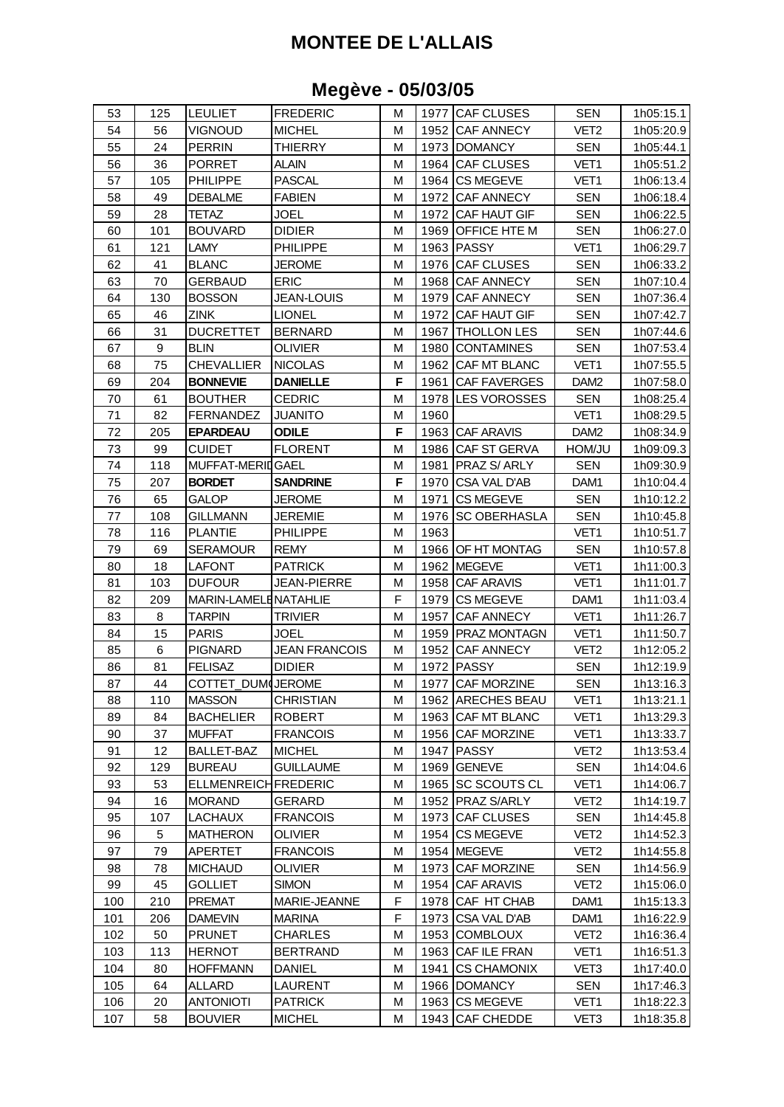## **MONTEE DE L'ALLAIS**

### **Megève - 05/03/05**

| 53  | 125 | <b>LEULIET</b>       | <b>FREDERIC</b>      | М |      | 1977 CAF CLUSES     | <b>SEN</b>       | 1h05:15.1 |
|-----|-----|----------------------|----------------------|---|------|---------------------|------------------|-----------|
| 54  | 56  | <b>VIGNOUD</b>       | <b>MICHEL</b>        | M | 1952 | <b>CAF ANNECY</b>   | VET <sub>2</sub> | 1h05:20.9 |
| 55  | 24  | <b>PERRIN</b>        | <b>THIERRY</b>       | M | 1973 | <b>DOMANCY</b>      | <b>SEN</b>       | 1h05:44.1 |
| 56  | 36  | PORRET               | <b>ALAIN</b>         | M | 1964 | <b>CAF CLUSES</b>   | VET1             | 1h05:51.2 |
| 57  | 105 | <b>PHILIPPE</b>      | PASCAL               | М | 1964 | <b>CS MEGEVE</b>    | VET1             | 1h06:13.4 |
| 58  | 49  | <b>DEBALME</b>       | <b>FABIEN</b>        | М | 1972 | <b>CAF ANNECY</b>   | <b>SEN</b>       | 1h06:18.4 |
| 59  | 28  | TETAZ                | JOEL                 | М | 1972 | CAF HAUT GIF        | <b>SEN</b>       | 1h06:22.5 |
| 60  | 101 | BOUVARD              | <b>DIDIER</b>        | M | 1969 | OFFICE HTE M        | <b>SEN</b>       | 1h06:27.0 |
| 61  | 121 | LAMY                 | PHILIPPE             | М | 1963 | <b>PASSY</b>        | VET1             | 1h06:29.7 |
| 62  | 41  | <b>BLANC</b>         | <b>JEROME</b>        | M | 1976 | <b>CAF CLUSES</b>   | <b>SEN</b>       | 1h06:33.2 |
| 63  | 70  | <b>GERBAUD</b>       | <b>ERIC</b>          | М | 1968 | <b>CAF ANNECY</b>   | <b>SEN</b>       | 1h07:10.4 |
| 64  | 130 | <b>BOSSON</b>        | JEAN-LOUIS           | M | 1979 | <b>CAF ANNECY</b>   | <b>SEN</b>       | 1h07:36.4 |
| 65  | 46  | ZINK                 | <b>LIONEL</b>        | M | 1972 | CAF HAUT GIF        | <b>SEN</b>       | 1h07:42.7 |
| 66  | 31  | <b>DUCRETTET</b>     | <b>BERNARD</b>       | M | 1967 | <b>THOLLON LES</b>  | <b>SEN</b>       | 1h07:44.6 |
| 67  | 9   | BLIN                 | OLIVIER              | M | 1980 | <b>CONTAMINES</b>   | <b>SEN</b>       | 1h07:53.4 |
| 68  | 75  | <b>CHEVALLIER</b>    | <b>NICOLAS</b>       | M | 1962 | CAF MT BLANC        | VET1             | 1h07:55.5 |
| 69  | 204 | <b>BONNEVIE</b>      | <b>DANIELLE</b>      | F | 1961 | <b>CAF FAVERGES</b> | DAM <sub>2</sub> | 1h07:58.0 |
| 70  | 61  | <b>BOUTHER</b>       | <b>CEDRIC</b>        | M | 1978 | <b>LES VOROSSES</b> | <b>SEN</b>       | 1h08:25.4 |
| 71  | 82  | <b>FERNANDEZ</b>     | <b>JUANITO</b>       | М | 1960 |                     | VET1             | 1h08:29.5 |
| 72  | 205 | <b>EPARDEAU</b>      | <b>ODILE</b>         | F | 1963 | CAF ARAVIS          | DAM <sub>2</sub> | 1h08:34.9 |
| 73  | 99  | <b>CUIDET</b>        | <b>FLORENT</b>       | M | 1986 | CAF ST GERVA        | HOM/JU           | 1h09:09.3 |
| 74  | 118 | MUFFAT-MERIDGAEL     |                      | M | 1981 | PRAZ S/ ARLY        | <b>SEN</b>       | 1h09:30.9 |
| 75  | 207 | <b>BORDET</b>        | <b>SANDRINE</b>      | F | 1970 | CSA VAL D'AB        | DAM1             | 1h10:04.4 |
| 76  | 65  | GALOP                | JEROME               | M | 1971 | <b>CS MEGEVE</b>    | <b>SEN</b>       | 1h10:12.2 |
| 77  | 108 | GILLMANN             | <b>JEREMIE</b>       | М | 1976 | <b>SC OBERHASLA</b> | <b>SEN</b>       | 1h10:45.8 |
| 78  | 116 | <b>PLANTIE</b>       | PHILIPPE             | M | 1963 |                     | VET1             | 1h10:51.7 |
| 79  | 69  | SERAMOUR             | <b>REMY</b>          | М | 1966 | OF HT MONTAG        | <b>SEN</b>       | 1h10:57.8 |
| 80  | 18  | LAFONT               | <b>PATRICK</b>       | M | 1962 | <b>MEGEVE</b>       | VET <sub>1</sub> | 1h11:00.3 |
| 81  | 103 | <b>DUFOUR</b>        | <b>JEAN-PIERRE</b>   | M | 1958 | CAF ARAVIS          | VET1             | 1h11:01.7 |
| 82  | 209 | MARIN-LAMELENATAHLIE |                      | F | 1979 | <b>CS MEGEVE</b>    | DAM1             | 1h11:03.4 |
| 83  | 8   | TARPIN               | TRIVIER              | M | 1957 | CAF ANNECY          | VET1             | 1h11:26.7 |
| 84  | 15  | <b>PARIS</b>         | JOEL                 | M | 1959 | PRAZ MONTAGN        | VET1             | 1h11:50.7 |
| 85  | 6   | <b>PIGNARD</b>       | <b>JEAN FRANCOIS</b> | М | 1952 | <b>CAF ANNECY</b>   | VET <sub>2</sub> | 1h12:05.2 |
| 86  | 81  | <b>FELISAZ</b>       | <b>DIDIER</b>        | M | 1972 | <b>PASSY</b>        | <b>SEN</b>       | 1h12:19.9 |
| 87  | 44  | COTTET DUM(JEROME    |                      | M | 1977 | CAF MORZINE         | <b>SEN</b>       | 1h13:16.3 |
| 88  | 110 | <b>MASSON</b>        | <b>CHRISTIAN</b>     | М |      | 1962 ARECHES BEAU   | VET1             | 1h13:21.1 |
| 89  | 84  | <b>BACHELIER</b>     | <b>ROBERT</b>        | M | 1963 | CAF MT BLANC        | VET1             | 1h13:29.3 |
| 90  | 37  | <b>MUFFAT</b>        | <b>FRANCOIS</b>      | M | 1956 | CAF MORZINE         | VET1             | 1h13:33.7 |
| 91  | 12  | BALLET-BAZ           | <b>MICHEL</b>        | М | 1947 | <b>PASSY</b>        | VET2             | 1h13:53.4 |
| 92  | 129 | <b>BUREAU</b>        | <b>GUILLAUME</b>     | M | 1969 | <b>GENEVE</b>       | <b>SEN</b>       | 1h14:04.6 |
| 93  | 53  | ELLMENREICHFREDERIC  |                      | M |      | 1965 SC SCOUTS CL   | VET1             | 1h14:06.7 |
| 94  | 16  | <b>MORAND</b>        | <b>GERARD</b>        | M | 1952 | PRAZ S/ARLY         | VET <sub>2</sub> | 1h14:19.7 |
| 95  | 107 | LACHAUX              | <b>FRANCOIS</b>      | M | 1973 | CAF CLUSES          | SEN              | 1h14:45.8 |
| 96  | 5   | MATHERON             | <b>OLIVIER</b>       | М | 1954 | <b>CS MEGEVE</b>    | VET <sub>2</sub> | 1h14:52.3 |
| 97  | 79  | APERTET              | <b>FRANCOIS</b>      | М | 1954 | <b>MEGEVE</b>       | VET2             | 1h14:55.8 |
| 98  | 78  | <b>MICHAUD</b>       | <b>OLIVIER</b>       | М | 1973 | CAF MORZINE         | <b>SEN</b>       | 1h14:56.9 |
| 99  | 45  | GOLLIET              | <b>SIMON</b>         | M | 1954 | CAF ARAVIS          | VET <sub>2</sub> | 1h15:06.0 |
| 100 | 210 | PREMAT               | MARIE-JEANNE         | F | 1978 | CAF HT CHAB         | DAM1             | 1h15:13.3 |
| 101 | 206 | <b>DAMEVIN</b>       | <b>MARINA</b>        | F | 1973 | CSA VAL D'AB        | DAM1             | 1h16:22.9 |
| 102 | 50  | <b>PRUNET</b>        | <b>CHARLES</b>       | M | 1953 | <b>COMBLOUX</b>     | VET <sub>2</sub> | 1h16:36.4 |
| 103 | 113 | <b>HERNOT</b>        | <b>BERTRAND</b>      | M | 1963 | CAF ILE FRAN        | VET1             | 1h16:51.3 |
| 104 | 80  | <b>HOFFMANN</b>      | DANIEL               | M | 1941 | <b>CS CHAMONIX</b>  | VET3             | 1h17:40.0 |
| 105 | 64  | <b>ALLARD</b>        | LAURENT              | M | 1966 | <b>DOMANCY</b>      | <b>SEN</b>       | 1h17:46.3 |
| 106 | 20  | <b>ANTONIOTI</b>     | <b>PATRICK</b>       | М | 1963 | <b>CS MEGEVE</b>    | VET1             | 1h18:22.3 |
| 107 | 58  | <b>BOUVIER</b>       | <b>MICHEL</b>        | M |      | 1943 CAF CHEDDE     | VET <sub>3</sub> | 1h18:35.8 |